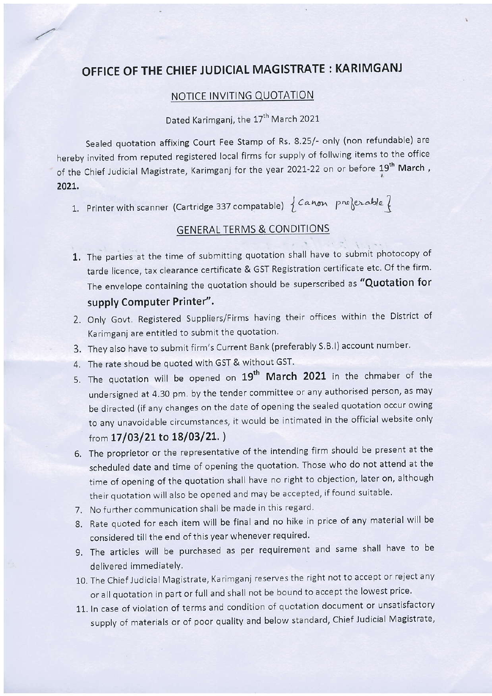# OFFICE OF THE CHIEF JUDICIAL MAGISTRATE : KARIMGANJ

#### NOTICE INVITING QUOTATION

### Dated Karimganj, the 17<sup>th</sup> March 2021

Sealed quotation affixing Court Fee Stamp of Rs. 8.25/- only (non refundable) are hereby invited from reputed registered local firms for supply of follwing items to the office of the Chief Judicial Magistrate, Karimganj for the year 2021-22 on or before 19<sup>th</sup> March, 202L.

1. Printer with scanner (Cartridge 337 compatable)  $\{Canon \ pre\}$ 

## GENERAL TERMS & CONDITIONS

- 1. The parties at the time of submitting quotation shall have to submit photocopy of tarde licence, tax clearance certificate & GST Registration certificate etc. Of the firm. The envelope containing the quotation should be superscribed as "Quotation for supply Computer Printer".
- 2. Only Govt. Registered Suppliers/Firms having their offices within the District of Karimganj are entitled to submit the quotation.
- 3. They also have to submit firm's Current Bank (preferably S.B.I) account number.
- 4. The rate shoud be quoted with GST & without GST.
- 5. The quotation will be opened on 19<sup>th</sup> March 2021 in the chmaber of the undersigned at 4.30 pm, by the tender committee or any authorised person, as may be directed (if any changes on the date of opening the sealed quotation occur owing to any unavoidable circumstances, it would be intimated in the official website only from 17/03/21 to 18/03/21.)
- 6. The proprietor or the representative of the intending firm should be present at the scheduled date and time of opening the quotation Those who do not attend at the time of opening of the quotation shall have no right to objection, later on, although their quotation will also be opened and may be accepted, if found suitable.
- 7. No further communication shall be made in this regard.
- 8. Rate quoted for each item will be final and no hike in price of any material will be considered till the end of this year whenever required.
- 9, The articles will be purchased as per requirement and same shall have to be delivered immediatelY.
- 10. The Chief Judicial Magistrate, Karimganj reserves the right not to accept or reject any or all quotation in part or full and shall not be bound to accept the lowest price.
- 11. ln case of violation of terms and condition of quotation document or unsatisfactory supply of materials or of poor quality and below standard, Chief Judicial Magistrate,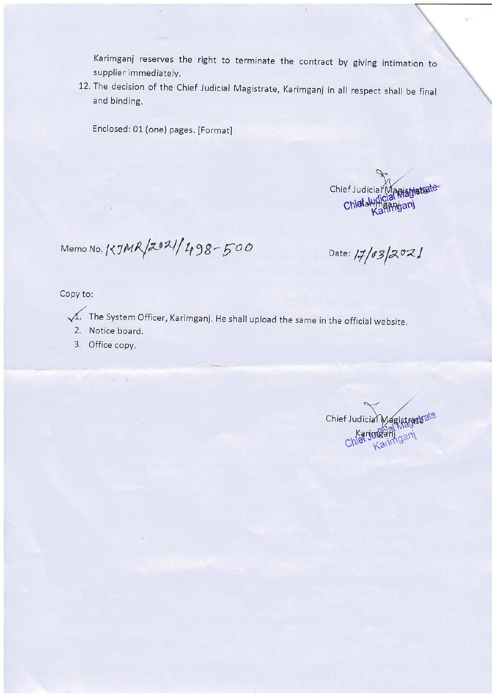Karimganj reserves the right to terminate the contract by giving intimation to supplier immediately.

12. The decision of the Chief Judicial Magistrate, Karimganj in all respect shall be final and binding.

Enclosed: 01 (one) pages. [Format]

Chief Judicial Magistristrate Chiefall

Memo No. 1<JMR /2021/498-500

Date:  $17/03/2021$ 

Copy to:

- The System Officer, Karimganj. He shall upload the same in the official website.
	- 2. Notice board.
	- 3. Office copy.

Chief Judicial Aagistrate ale